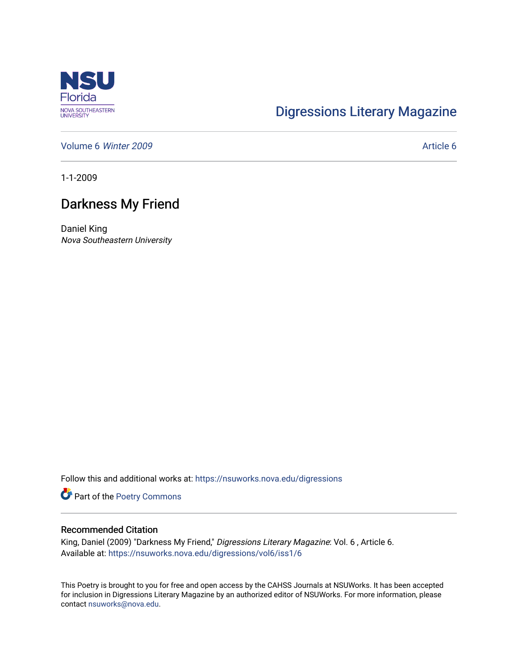

## [Digressions Literary Magazine](https://nsuworks.nova.edu/digressions)

[Volume 6](https://nsuworks.nova.edu/digressions/vol6) Winter 2009 **Article 6** Article 6

1-1-2009

## Darkness My Friend

Daniel King Nova Southeastern University

Follow this and additional works at: [https://nsuworks.nova.edu/digressions](https://nsuworks.nova.edu/digressions?utm_source=nsuworks.nova.edu%2Fdigressions%2Fvol6%2Fiss1%2F6&utm_medium=PDF&utm_campaign=PDFCoverPages) 

Part of the [Poetry Commons](http://network.bepress.com/hgg/discipline/1153?utm_source=nsuworks.nova.edu%2Fdigressions%2Fvol6%2Fiss1%2F6&utm_medium=PDF&utm_campaign=PDFCoverPages) 

## Recommended Citation

King, Daniel (2009) "Darkness My Friend," Digressions Literary Magazine: Vol. 6, Article 6. Available at: [https://nsuworks.nova.edu/digressions/vol6/iss1/6](https://nsuworks.nova.edu/digressions/vol6/iss1/6?utm_source=nsuworks.nova.edu%2Fdigressions%2Fvol6%2Fiss1%2F6&utm_medium=PDF&utm_campaign=PDFCoverPages) 

This Poetry is brought to you for free and open access by the CAHSS Journals at NSUWorks. It has been accepted for inclusion in Digressions Literary Magazine by an authorized editor of NSUWorks. For more information, please contact [nsuworks@nova.edu.](mailto:nsuworks@nova.edu)